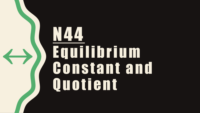# N44 Equilibrium Constant and Quotient

«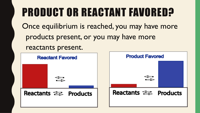### PRODUCT OR REACTANT FAVORED?

Once equilibrium is reached, you may have more products present, or you may have more

reactants present.

**Product Favored Reactant Favored** Reactants <del>Sault</del> Products Reactants <del>Sault</del>s Products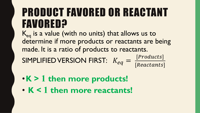### PRODUCT FAVORED OR REACTANT FAVORED?

 $K_{eq}$  is a value (with no units) that allows us to determine if more products or reactants are being made. It is a ratio of products to reactants.

SIMPLIFIED VERSION FIRST:  $K_{eq} =$ 

$$
= \frac{[Products]}{[Reactants]}
$$

- •**K > 1 then more products!**
- **K < 1 then more reactants!**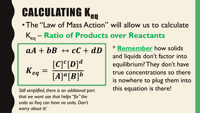## **CALCULATING K<sub>eq</sub>**

•The "Law of Mass Action" will allow us to calculate

Keq – **Ratio of Products over Reactants**

$$
aA + bB \leftrightarrow cC + dD
$$

$$
K_{eq} = \frac{[C]^c[D]^d}{[A]^a[B]^b}
$$

*that we wont use that helps "fix" the units so Keq can have no units. Don't worry about it!*

\* **Remember** how solids and liquids don't factor into equilibrium? They don't have true concentrations so there is nowhere to plug them into Still simplified, there is an additional part **this equation is there!**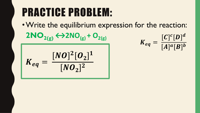### PRACTICE PROBLEM:

•Write the equilibrium expression for the reaction:  $2NO_{2(g)} \leftrightarrow 2NO_{(g)} + O_{2(g)}$  $[C]$  $c[D]$  $\boldsymbol{d}$ 

$$
K_{eq} = \frac{[NO]^2 [O_2]^1}{[NO_2]^2}
$$

$$
K_{eq} = \frac{[C]^c[D]^d}{[A]^a[B]^b}
$$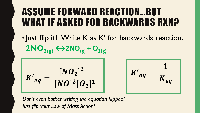#### ASSUME FORWARD REACTION…BUT WHAT IF ASKED FOR BACKWARDS RXN?

• Just flip it! Write K as K' for backwards reaction.  $2NO_{2(g)} \leftrightarrow 2NO_{(g)} + O_{2(g)}$ 

$$
K'_{eq} = \frac{[NO_2]^2}{[NO]^2[O_2]^1}
$$

 $K{'}_{eq}$ =  $\mathbf{1}$  $K_{eq}$ 

*Don't even bother writing the equation flipped! Just flip your Law of Mass Action!*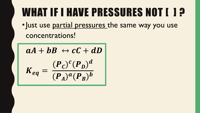### WHAT IF I HAVE PRESSURES NOT [ ] ?

• Just use partial pressures the same way you use concentrations!

$$
aA + bB \leftrightarrow cC + dD
$$

$$
K_{eq} = \frac{(P_c)^c (P_D)^d}{(P_A)^a (P_B)^b}
$$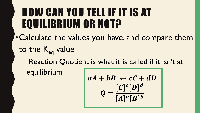### HOW CAN YOU TELL IF IT IS AT EQUILIBRIUM OR NOT?

- •Calculate the values you have, and compare them to the K<sub>eq</sub> value
	- Reaction Quotient is what it is called if it isn't at equilibrium

$$
aA + bB \leftrightarrow cC + dD
$$

$$
Q = \frac{[C]^c[D]^d}{[A]^a[B]^b}
$$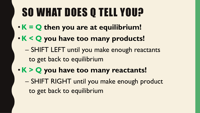## SO WHAT DOES Q TELL YOU?

- **K = Q then you are at equilibrium!**
- **K < Q you have too many products!**
	- SHIFT LEFT until you make enough reactants to get back to equilibrium
- **K > Q you have too many reactants!** – SHIFT RIGHT until you make enough product to get back to equilibrium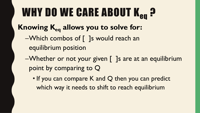## WHY DO WE CARE ABOUT K<sub>en</sub> ?

#### Knowing K<sub>eq</sub> allows you to solve for:

- –Which combos of [ ]s would reach an equilibrium position
- –Whether or not your given [ ]s are at an equilibrium point by comparing to Q
	- If you can compare K and Q then you can predict which way it needs to shift to reach equilibrium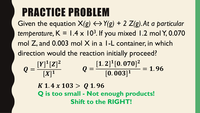### PRACTICE PROBLEM

Given the equation  $X(g) \leftrightarrow Y(g) + 2 Z(g)$ . At a particular *temperature,*  $K = 1.4 \times 10^3$ . If you mixed 1.2 mol Y, 0.070 mol Z, and 0.003 mol X in a 1-L container, in which direction would the reaction initially proceed?  $[Y]^1[Z]^2$  $[1.2]^{1}[0.070]^{2}$ 

$$
Q = \frac{[Y]^{\perp} [Z]^2}{[X]^1} \qquad Q = \frac{[1.2]^{\perp} [0.070]^2}{[0.003]^1} = 1.96
$$

 $K$  1.4  $x$  103  $>$  Q 1.96 **Q is too small - Not enough products! Shift to the RIGHT!**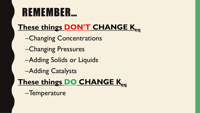### REMEMBER…

#### **These things DON'T CHANGE Keq**

- –Changing Concentrations
- –Changing Pressures
- –Adding Solids or Liquids
- –Adding Catalysts

#### **These things DO CHANGE Keq**

–Temperature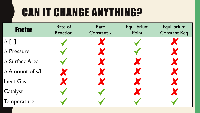### CAN IT CHANGE ANYTHING?

| <b>Factor</b>             | Rate of<br><b>Reaction</b> | Rate<br>Constant k | Equilibrium<br>Point | Equilibrium<br><b>Constant Keq</b> |
|---------------------------|----------------------------|--------------------|----------------------|------------------------------------|
| $\Delta$ []               |                            |                    |                      |                                    |
| $\Delta$ Pressure         |                            |                    |                      |                                    |
| $\triangle$ Surface Area  |                            |                    |                      |                                    |
| $\triangle$ Amount of s/l |                            |                    |                      |                                    |
| <b>Inert Gas</b>          |                            |                    |                      |                                    |
| Catalyst                  |                            |                    |                      |                                    |
| Temperature               |                            |                    |                      |                                    |